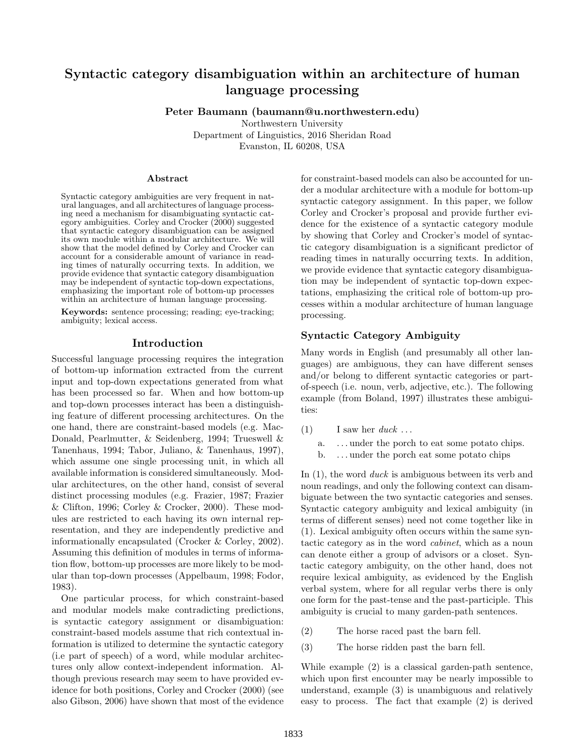# Syntactic category disambiguation within an architecture of human language processing

Peter Baumann (baumann@u.northwestern.edu)

Northwestern University Department of Linguistics, 2016 Sheridan Road Evanston, IL 60208, USA

#### Abstract

Syntactic category ambiguities are very frequent in natural languages, and all architectures of language processing need a mechanism for disambiguating syntactic category ambiguities. [Corley and Crocker](#page-5-0) [\(2000\)](#page-5-0) suggested that syntactic category disambiguation can be assigned its own module within a modular architecture. We will show that the model defined by [Corley and Crocker](#page-5-0) can account for a considerable amount of variance in reading times of naturally occurring texts. In addition, we provide evidence that syntactic category disambiguation may be independent of syntactic top-down expectations, emphasizing the important role of bottom-up processes within an architecture of human language processing.

Keywords: sentence processing; reading; eye-tracking; ambiguity; lexical access.

## Introduction

Successful language processing requires the integration of bottom-up information extracted from the current input and top-down expectations generated from what has been processed so far. When and how bottom-up and top-down processes interact has been a distinguishing feature of different processing architectures. On the one hand, there are constraint-based models (e.g. [Mac-](#page-5-1)[Donald, Pearlmutter, & Seidenberg,](#page-5-1) [1994;](#page-5-1) [Trueswell &](#page-5-2) [Tanenhaus,](#page-5-2) [1994;](#page-5-2) [Tabor, Juliano, & Tanenhaus,](#page-5-3) [1997\)](#page-5-3), which assume one single processing unit, in which all available information is considered simultaneously. Modular architectures, on the other hand, consist of several distinct processing modules (e.g. [Frazier,](#page-5-4) [1987;](#page-5-4) [Frazier](#page-5-5) [& Clifton,](#page-5-5) [1996;](#page-5-5) [Corley & Crocker,](#page-5-0) [2000\)](#page-5-0). These modules are restricted to each having its own internal representation, and they are independently predictive and informationally encapsulated [\(Crocker & Corley,](#page-5-6) [2002\)](#page-5-6). Assuming this definition of modules in terms of information flow, bottom-up processes are more likely to be modular than top-down processes [\(Appelbaum,](#page-4-0) [1998;](#page-4-0) [Fodor,](#page-5-7) [1983\)](#page-5-7).

One particular process, for which constraint-based and modular models make contradicting predictions, is syntactic category assignment or disambiguation: constraint-based models assume that rich contextual information is utilized to determine the syntactic category (i.e part of speech) of a word, while modular architectures only allow context-independent information. Although previous research may seem to have provided evidence for both positions, [Corley and Crocker](#page-5-0) [\(2000\)](#page-5-0) (see also [Gibson,](#page-5-8) [2006\)](#page-5-8) have shown that most of the evidence for constraint-based models can also be accounted for under a modular architecture with a module for bottom-up syntactic category assignment. In this paper, we follow [Corley and Crocker'](#page-5-0)s proposal and provide further evidence for the existence of a syntactic category module by showing that [Corley and Crocker'](#page-5-0)s model of syntactic category disambiguation is a significant predictor of reading times in naturally occurring texts. In addition, we provide evidence that syntactic category disambiguation may be independent of syntactic top-down expectations, emphasizing the critical role of bottom-up processes within a modular architecture of human language processing.

# Syntactic Category Ambiguity

Many words in English (and presumably all other languages) are ambiguous, they can have different senses and/or belong to different syntactic categories or partof-speech (i.e. noun, verb, adjective, etc.). The following example (from [Boland,](#page-5-9) [1997\)](#page-5-9) illustrates these ambiguities:

- <span id="page-0-0"></span>(1) I saw her  $duck \dots$ 
	- a. . . . under the porch to eat some potato chips.
	- b. . . . under the porch eat some potato chips

In [\(1\),](#page-0-0) the word *duck* is ambiguous between its verb and noun readings, and only the following context can disambiguate between the two syntactic categories and senses. Syntactic category ambiguity and lexical ambiguity (in terms of different senses) need not come together like in [\(1\).](#page-0-0) Lexical ambiguity often occurs within the same syntactic category as in the word cabinet, which as a noun can denote either a group of advisors or a closet. Syntactic category ambiguity, on the other hand, does not require lexical ambiguity, as evidenced by the English verbal system, where for all regular verbs there is only one form for the past-tense and the past-participle. This ambiguity is crucial to many garden-path sentences.

- <span id="page-0-2"></span><span id="page-0-1"></span>(2) The horse raced past the barn fell.
- (3) The horse ridden past the barn fell.

While example [\(2\)](#page-0-1) is a classical garden-path sentence, which upon first encounter may be nearly impossible to understand, example [\(3\)](#page-0-2) is unambiguous and relatively easy to process. The fact that example [\(2\)](#page-0-1) is derived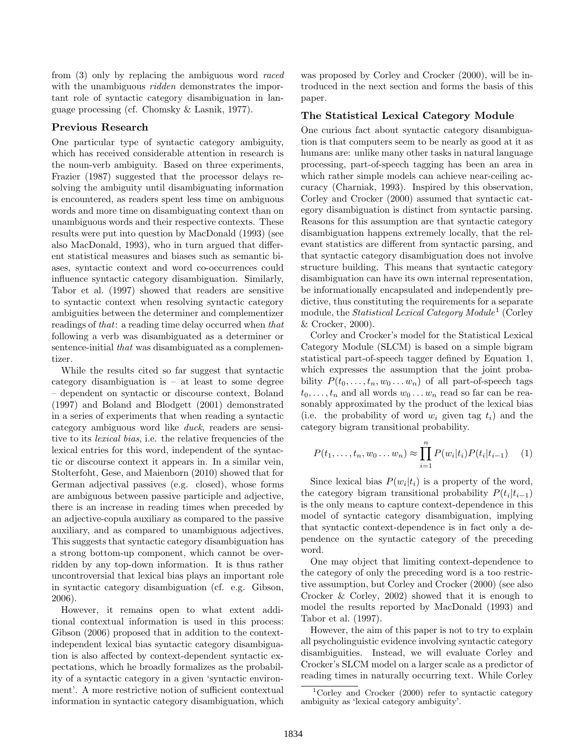from [\(3\)](#page-0-2) only by replacing the ambiguous word raced with the unambiguous *ridden* demonstrates the important role of syntactic category disambiguation in language processing (cf. [Chomsky & Lasnik,](#page-5-10) [1977\)](#page-5-10).

#### Previous Research

One particular type of syntactic category ambiguity, which has received considerable attention in research is the noun-verb ambiguity. Based on three experiments, [Frazier](#page-5-4) [\(1987\)](#page-5-4) suggested that the processor delays resolving the ambiguity until disambiguating information is encountered, as readers spent less time on ambiguous words and more time on disambiguating context than on unambiguous words and their respective contexts. These results were put into question by [MacDonald](#page-5-11) [\(1993\)](#page-5-11) (see also [MacDonald,](#page-5-11) [1993\)](#page-5-11), who in turn argued that different statistical measures and biases such as semantic biases, syntactic context and word co-occurrences could influence syntactic category disambiguation. Similarly, [Tabor et al.](#page-5-3) [\(1997\)](#page-5-3) showed that readers are sensitive to syntactic context when resolving syntactic category ambiguities between the determiner and complementizer readings of that: a reading time delay occurred when that following a verb was disambiguated as a determiner or sentence-initial that was disambiguated as a complementizer.

While the results cited so far suggest that syntactic category disambiguation is – at least to some degree – dependent on syntactic or discourse context, [Boland](#page-5-9) [\(1997\)](#page-5-9) and [Boland and Blodgett](#page-5-12) [\(2001\)](#page-5-12) demonstrated in a series of experiments that when reading a syntactic category ambiguous word like duck, readers are sensitive to its *lexical bias*, i.e. the relative frequencies of the lexical entries for this word, independent of the syntactic or discourse context it appears in. In a similar vein, [Stolterfoht, Gese, and Maienborn](#page-5-13) [\(2010\)](#page-5-13) showed that for German adjectival passives (e.g. closed), whose forms are ambiguous between passive participle and adjective, there is an increase in reading times when preceded by an adjective-copula auxiliary as compared to the passive auxiliary, and as compared to unambiguous adjectives. This suggests that syntactic category disambiguation has a strong bottom-up component, which cannot be overridden by any top-down information. It is thus rather uncontroversial that lexical bias plays an important role in syntactic category disambiguation (cf. e.g. [Gibson,](#page-5-8) [2006\)](#page-5-8).

However, it remains open to what extent additional contextual information is used in this process: [Gibson](#page-5-8) [\(2006\)](#page-5-8) proposed that in addition to the contextindependent lexical bias syntactic category disambiguation is also affected by context-dependent syntactic expectations, which he broadly formalizes as the probability of a syntactic category in a given 'syntactic environment'. A more restrictive notion of sufficient contextual information in syntactic category disambiguation, which

was proposed by [Corley and Crocker](#page-5-0) [\(2000\)](#page-5-0), will be introduced in the next section and forms the basis of this paper.

## The Statistical Lexical Category Module

One curious fact about syntactic category disambiguation is that computers seem to be nearly as good at it as humans are: unlike many other tasks in natural language processing, part-of-speech tagging has been an area in which rather simple models can achieve near-ceiling accuracy [\(Charniak,](#page-5-14) [1993\)](#page-5-14). Inspired by this observation, [Corley and Crocker](#page-5-0) [\(2000\)](#page-5-0) assumed that syntactic category disambiguation is distinct from syntactic parsing. Reasons for this assumption are that syntactic category disambiguation happens extremely locally, that the relevant statistics are different from syntactic parsing, and that syntactic category disambiguation does not involve structure building. This means that syntactic category disambiguation can have its own internal representation, be informationally encapsulated and independently predictive, thus constituting the requirements for a separate module, the *Statistical Lexical Category Module*<sup>[1](#page-1-0)</sup> [\(Corley](#page-5-0) [& Crocker,](#page-5-0) [2000\)](#page-5-0).

[Corley and Crocker'](#page-5-0)s model for the Statistical Lexical Category Module (SLCM) is based on a simple bigram statistical part-of-speech tagger defined by [Equation](#page-1-1) [1,](#page-1-1) which expresses the assumption that the joint probability  $P(t_0, \ldots, t_n, w_0 \ldots w_n)$  of all part-of-speech tags  $t_0, \ldots, t_n$  and all words  $w_0 \ldots w_n$  read so far can be reasonably approximated by the product of the lexical bias (i.e. the probability of word  $w_i$  given tag  $t_i$ ) and the category bigram transitional probability.

<span id="page-1-1"></span>
$$
P(t_1, ..., t_n, w_0 ... w_n) \approx \prod_{i=1}^n P(w_i|t_i) P(t_i|t_{i-1}) \quad (1)
$$

Since lexical bias  $P(w_i|t_i)$  is a property of the word, the category bigram transitional probability  $P(t_i|t_{i-1})$ is the only means to capture context-dependence in this model of syntactic category disambiguation, implying that syntactic context-dependence is in fact only a dependence on the syntactic category of the preceding word.

One may object that limiting context-dependence to the category of only the preceding word is a too restrictive assumption, but [Corley and Crocker](#page-5-0) [\(2000\)](#page-5-0) (see also [Crocker & Corley,](#page-5-6) [2002\)](#page-5-6) showed that it is enough to model the results reported by [MacDonald](#page-5-11) [\(1993\)](#page-5-11) and [Tabor et al.](#page-5-3) [\(1997\)](#page-5-3).

However, the aim of this paper is not to try to explain all psycholinguistic evidence involving syntactic category disambiguities. Instead, we will evaluate [Corley and](#page-5-0) [Crocker'](#page-5-0)s SLCM model on a larger scale as a predictor of reading times in naturally occurring text. While [Corley](#page-5-0)

<span id="page-1-0"></span><sup>&</sup>lt;sup>1</sup>[Corley and Crocker](#page-5-0) [\(2000\) refer to syntactic category](#page-5-0) [ambiguity as 'lexical category ambiguity'.](#page-5-0)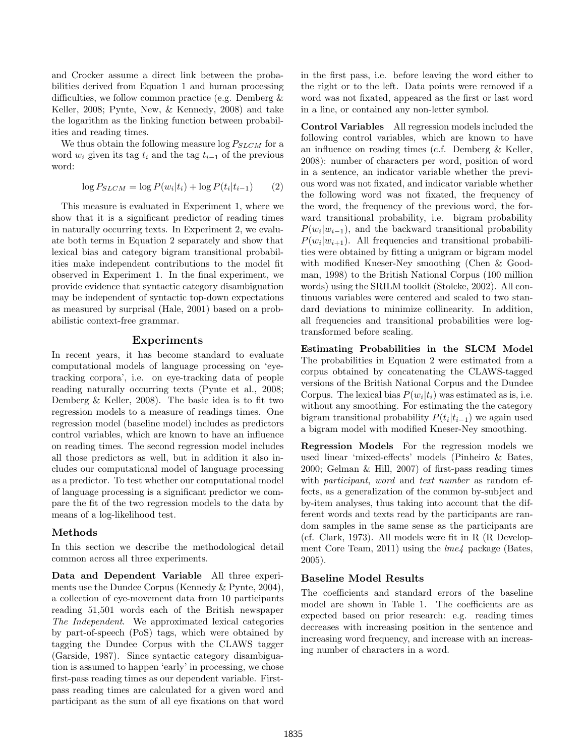[and Crocker](#page-5-0) assume a direct link between the probabilities derived from [Equation](#page-1-1) [1](#page-1-1) and human processing difficulties, we follow common practice (e.g. [Demberg &](#page-5-15) [Keller,](#page-5-15) [2008;](#page-5-15) [Pynte, New, & Kennedy,](#page-5-16) [2008\)](#page-5-16) and take the logarithm as the linking function between probabilities and reading times.

We thus obtain the following measure  $\log P_{SLCM}$  for a word  $w_i$  given its tag  $t_i$  and the tag  $t_{i-1}$  of the previous word:

<span id="page-2-0"></span>
$$
\log P_{SLCM} = \log P(w_i|t_i) + \log P(t_i|t_{i-1}) \qquad (2)
$$

This measure is evaluated in Experiment 1, where we show that it is a significant predictor of reading times in naturally occurring texts. In Experiment 2, we evaluate both terms in [Equation](#page-2-0) [2](#page-2-0) separately and show that lexical bias and category bigram transitional probabilities make independent contributions to the model fit observed in Experiment 1. In the final experiment, we provide evidence that syntactic category disambiguation may be independent of syntactic top-down expectations as measured by surprisal [\(Hale,](#page-5-17) [2001\)](#page-5-17) based on a probabilistic context-free grammar.

## Experiments

In recent years, it has become standard to evaluate computational models of language processing on 'eyetracking corpora', i.e. on eye-tracking data of people reading naturally occurring texts [\(Pynte et al.,](#page-5-16) [2008;](#page-5-16) [Demberg & Keller,](#page-5-15) [2008\)](#page-5-15). The basic idea is to fit two regression models to a measure of readings times. One regression model (baseline model) includes as predictors control variables, which are known to have an influence on reading times. The second regression model includes all those predictors as well, but in addition it also includes our computational model of language processing as a predictor. To test whether our computational model of language processing is a significant predictor we compare the fit of the two regression models to the data by means of a log-likelihood test.

#### Methods

In this section we describe the methodological detail common across all three experiments.

Data and Dependent Variable All three experiments use the Dundee Corpus [\(Kennedy & Pynte,](#page-5-18) [2004\)](#page-5-18), a collection of eye-movement data from 10 participants reading 51,501 words each of the British newspaper The Independent. We approximated lexical categories by part-of-speech (PoS) tags, which were obtained by tagging the Dundee Corpus with the CLAWS tagger [\(Garside,](#page-5-19) [1987\)](#page-5-19). Since syntactic category disambiguation is assumed to happen 'early' in processing, we chose first-pass reading times as our dependent variable. Firstpass reading times are calculated for a given word and participant as the sum of all eye fixations on that word in the first pass, i.e. before leaving the word either to the right or to the left. Data points were removed if a word was not fixated, appeared as the first or last word in a line, or contained any non-letter symbol.

Control Variables All regression models included the following control variables, which are known to have an influence on reading times (c.f. [Demberg & Keller,](#page-5-15) [2008\)](#page-5-15): number of characters per word, position of word in a sentence, an indicator variable whether the previous word was not fixated, and indicator variable whether the following word was not fixated, the frequency of the word, the frequency of the previous word, the forward transitional probability, i.e. bigram probability  $P(w_i|w_{i-1})$ , and the backward transitional probability  $P(w_i|w_{i+1})$ . All frequencies and transitional probabilities were obtained by fitting a unigram or bigram model with modified Kneser-Ney smoothing [\(Chen & Good](#page-5-20)[man,](#page-5-20) [1998\)](#page-5-20) to the British National Corpus (100 million words) using the SRILM toolkit [\(Stolcke,](#page-5-21) [2002\)](#page-5-21). All continuous variables were centered and scaled to two standard deviations to minimize collinearity. In addition, all frequencies and transitional probabilities were logtransformed before scaling.

Estimating Probabilities in the SLCM Model The probabilities in [Equation](#page-2-0) [2](#page-2-0) were estimated from a corpus obtained by concatenating the CLAWS-tagged versions of the British National Corpus and the Dundee Corpus. The lexical bias  $P(w_i|t_i)$  was estimated as is, i.e. without any smoothing. For estimating the the category bigram transitional probability  $P(t_i|t_{i-1})$  we again used a bigram model with modified Kneser-Ney smoothing.

Regression Models For the regression models we used linear 'mixed-effects' models [\(Pinheiro & Bates,](#page-5-22) [2000;](#page-5-22) [Gelman & Hill,](#page-5-23) [2007\)](#page-5-23) of first-pass reading times with *participant*, word and text number as random effects, as a generalization of the common by-subject and by-item analyses, thus taking into account that the different words and texts read by the participants are random samples in the same sense as the participants are (cf. [Clark,](#page-5-24) [1973\)](#page-5-24). All models were fit in R [\(R Develop](#page-5-25)[ment Core Team,](#page-5-25) [2011\)](#page-5-25) using the *lme4* package [\(Bates,](#page-4-1) [2005\)](#page-4-1).

#### Baseline Model Results

The coefficients and standard errors of the baseline model are shown in [Table](#page-3-0) [1.](#page-3-0) The coefficients are as expected based on prior research: e.g. reading times decreases with increasing position in the sentence and increasing word frequency, and increase with an increasing number of characters in a word.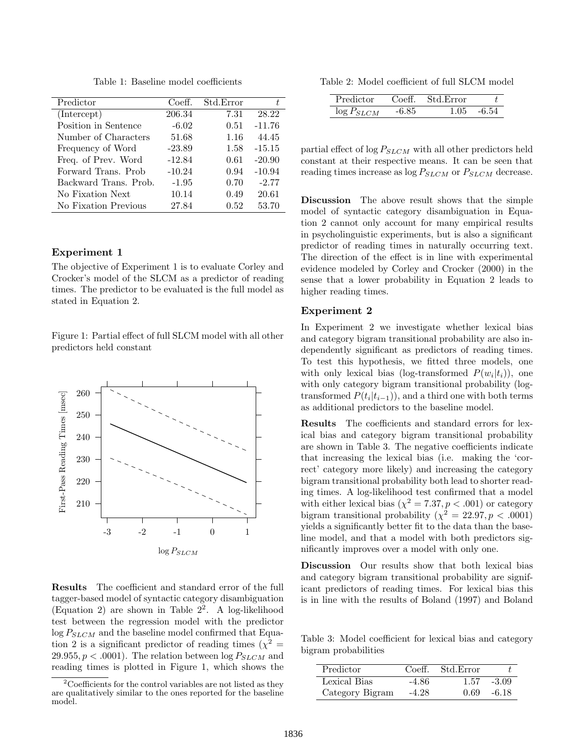Table 1: Baseline model coefficients

<span id="page-3-0"></span>

| Predictor             | Coeff.   | Std.Error | t.       |
|-----------------------|----------|-----------|----------|
| (Intercept)           | 206.34   | 7.31      | 28.22    |
| Position in Sentence  | $-6.02$  | 0.51      | $-11.76$ |
| Number of Characters  | 51.68    | 1.16      | 44.45    |
| Frequency of Word     | $-23.89$ | 1.58      | $-15.15$ |
| Freq. of Prev. Word   | $-12.84$ | 0.61      | $-20.90$ |
| Forward Trans. Prob.  | $-10.24$ | 0.94      | $-10.94$ |
| Backward Trans. Prob. | $-1.95$  | 0.70      | $-2.77$  |
| No Fixation Next      | 10.14    | 0.49      | 20.61    |
| No Fixation Previous  | 27.84    | 0.52      | 53.70    |

## Experiment 1

The objective of Experiment 1 is to evaluate [Corley and](#page-5-0) [Crocker'](#page-5-0)s model of the SLCM as a predictor of reading times. The predictor to be evaluated is the full model as stated in [Equation](#page-2-0) [2.](#page-2-0)

<span id="page-3-3"></span>Figure 1: Partial effect of full SLCM model with all other predictors held constant



Results The coefficient and standard error of the full tagger-based model of syntactic category disambiguation [\(Equation](#page-2-0) [2\)](#page-2-0) are shown in [Table](#page-3-1)  $2^2$  $2^2$ . A log-likelihood test between the regression model with the predictor  $\log P_{SLCM}$  and the baseline model confirmed that [Equa](#page-2-0)[tion](#page-2-0) [2](#page-2-0) is a significant predictor of reading times  $(\chi^2 =$ 29.955,  $p < .0001$ . The relation between  $\log P_{SLCM}$  and reading times is plotted in [Figure](#page-3-3) [1,](#page-3-3) which shows the

<span id="page-3-1"></span>Table 2: Model coefficient of full SLCM model

| Predictor  | Co <sub>e</sub> ff | Std.Error |                        |
|------------|--------------------|-----------|------------------------|
| $P_{SLCM}$ |                    | -1-05     | $\mathsf{K}$ $\Lambda$ |

partial effect of  $\log P_{SLCM}$  with all other predictors held constant at their respective means. It can be seen that reading times increase as  $\log P_{SLCM}$  or  $P_{SLCM}$  decrease.

Discussion The above result shows that the simple model of syntactic category disambiguation in [Equa](#page-2-0)[tion](#page-2-0) [2](#page-2-0) cannot only account for many empirical results in psycholinguistic experiments, but is also a significant predictor of reading times in naturally occurring text. The direction of the effect is in line with experimental evidence modeled by [Corley and Crocker](#page-5-0) [\(2000\)](#page-5-0) in the sense that a lower probability in [Equation](#page-2-0) [2](#page-2-0) leads to higher reading times.

# Experiment 2

In Experiment 2 we investigate whether lexical bias and category bigram transitional probability are also independently significant as predictors of reading times. To test this hypothesis, we fitted three models, one with only lexical bias (log-transformed  $P(w_i|t_i)$ ), one with only category bigram transitional probability (logtransformed  $P(t_i|t_{i-1})$ , and a third one with both terms as additional predictors to the baseline model.

Results The coefficients and standard errors for lexical bias and category bigram transitional probability are shown in [Table](#page-3-4) [3.](#page-3-4) The negative coefficients indicate that increasing the lexical bias (i.e. making the 'correct' category more likely) and increasing the category bigram transitional probability both lead to shorter reading times. A log-likelihood test confirmed that a model with either lexical bias  $(\chi^2 = 7.37, p < .001)$  or category bigram transitional probability ( $\chi^2 = 22.97, p < .0001$ ) yields a significantly better fit to the data than the baseline model, and that a model with both predictors significantly improves over a model with only one.

Discussion Our results show that both lexical bias and category bigram transitional probability are significant predictors of reading times. For lexical bias this is in line with the results of [Boland](#page-5-9) [\(1997\)](#page-5-9) and [Boland](#page-5-12)

<span id="page-3-4"></span>Table 3: Model coefficient for lexical bias and category bigram probabilities

| Predictor       | Coeff.  | - Std. Error |         |
|-----------------|---------|--------------|---------|
| Lexical Bias    | -4.86   | 1.57         | $-3.09$ |
| Category Bigram | $-4.28$ | 0.69         | $-6.18$ |

<span id="page-3-2"></span> $2^2$ Coefficients for the control variables are not listed as they are qualitatively similar to the ones reported for the baseline model.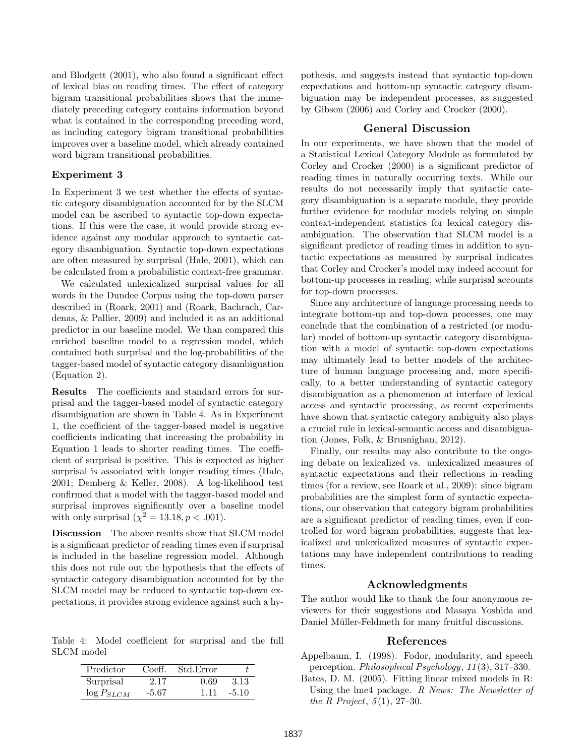[and Blodgett](#page-5-12) [\(2001\)](#page-5-12), who also found a significant effect of lexical bias on reading times. The effect of category bigram transitional probabilities shows that the immediately preceding category contains information beyond what is contained in the corresponding preceding word, as including category bigram transitional probabilities improves over a baseline model, which already contained word bigram transitional probabilities.

#### Experiment 3

In Experiment 3 we test whether the effects of syntactic category disambiguation accounted for by the SLCM model can be ascribed to syntactic top-down expectations. If this were the case, it would provide strong evidence against any modular approach to syntactic category disambiguation. Syntactic top-down expectations are often measured by surprisal [\(Hale,](#page-5-17) [2001\)](#page-5-17), which can be calculated from a probabilistic context-free grammar.

We calculated unlexicalized surprisal values for all words in the Dundee Corpus using the top-down parser described in [\(Roark,](#page-5-26) [2001\)](#page-5-26) and [\(Roark, Bachrach, Car](#page-5-27)[denas, & Pallier,](#page-5-27) [2009\)](#page-5-27) and included it as an additional predictor in our baseline model. We than compared this enriched baseline model to a regression model, which contained both surprisal and the log-probabilities of the tagger-based model of syntactic category disambiguation [\(Equation](#page-2-0) [2\)](#page-2-0).

Results The coefficients and standard errors for surprisal and the tagger-based model of syntactic category disambiguation are shown in [Table](#page-4-2) [4.](#page-4-2) As in Experiment 1, the coefficient of the tagger-based model is negative coefficients indicating that increasing the probability in [Equation](#page-1-1) [1](#page-1-1) leads to shorter reading times. The coefficient of surprisal is positive. This is expected as higher surprisal is associated with longer reading times [\(Hale,](#page-5-17) [2001;](#page-5-17) [Demberg & Keller,](#page-5-15) [2008\)](#page-5-15). A log-likelihood test confirmed that a model with the tagger-based model and surprisal improves significantly over a baseline model with only surprisal  $(\chi^2 = 13.18, p < .001)$ .

Discussion The above results show that SLCM model is a significant predictor of reading times even if surprisal is included in the baseline regression model. Although this does not rule out the hypothesis that the effects of syntactic category disambiguation accounted for by the SLCM model may be reduced to syntactic top-down expectations, it provides strong evidence against such a hy-

<span id="page-4-2"></span>Table 4: Model coefficient for surprisal and the full SLCM model

| Predictor       | Coeff. | Std.Error |         |
|-----------------|--------|-----------|---------|
| Surprisal       | 2.17   | 0.69      | 3.13    |
| $\log P_{SLCM}$ | -5.67  | 1 11      | $-5.10$ |

pothesis, and suggests instead that syntactic top-down expectations and bottom-up syntactic category disambiguation may be independent processes, as suggested by [Gibson](#page-5-8) [\(2006\)](#page-5-8) and [Corley and Crocker](#page-5-0) [\(2000\)](#page-5-0).

## General Discussion

In our experiments, we have shown that the model of a Statistical Lexical Category Module as formulated by [Corley and Crocker](#page-5-0) [\(2000\)](#page-5-0) is a significant predictor of reading times in naturally occurring texts. While our results do not necessarily imply that syntactic category disambiguation is a separate module, they provide further evidence for modular models relying on simple context-independent statistics for lexical category disambiguation. The observation that SLCM model is a significant predictor of reading times in addition to syntactic expectations as measured by surprisal indicates that [Corley and Crocker'](#page-5-0)s model may indeed account for bottom-up processes in reading, while surprisal accounts for top-down processes.

Since any architecture of language processing needs to integrate bottom-up and top-down processes, one may conclude that the combination of a restricted (or modular) model of bottom-up syntactic category disambiguation with a model of syntactic top-down expectations may ultimately lead to better models of the architecture of human language processing and, more specifically, to a better understanding of syntactic category disambiguation as a phenomenon at interface of lexical access and syntactic processing, as recent experiments have shown that syntactic category ambiguity also plays a crucial rule in lexical-semantic access and disambiguation [\(Jones, Folk, & Brusnighan,](#page-5-28) [2012\)](#page-5-28).

Finally, our results may also contribute to the ongoing debate on lexicalized vs. unlexicalized measures of syntactic expectations and their reflections in reading times (for a review, see [Roark et al.,](#page-5-27) [2009\)](#page-5-27): since bigram probabilities are the simplest form of syntactic expectations, our observation that category bigram probabilities are a significant predictor of reading times, even if controlled for word bigram probabilities, suggests that lexicalized and unlexicalized measures of syntactic expectations may have independent contributions to reading times.

# Acknowledgments

The author would like to thank the four anonymous reviewers for their suggestions and Masaya Yoshida and Daniel Müller-Feldmeth for many fruitful discussions.

# References

- <span id="page-4-0"></span>Appelbaum, I. (1998). Fodor, modularity, and speech perception. Philosophical Psychology, 11 (3), 317–330.
- <span id="page-4-1"></span>Bates, D. M. (2005). Fitting linear mixed models in R: Using the lme4 package. R News: The Newsletter of the R Project,  $5(1)$ , 27-30.